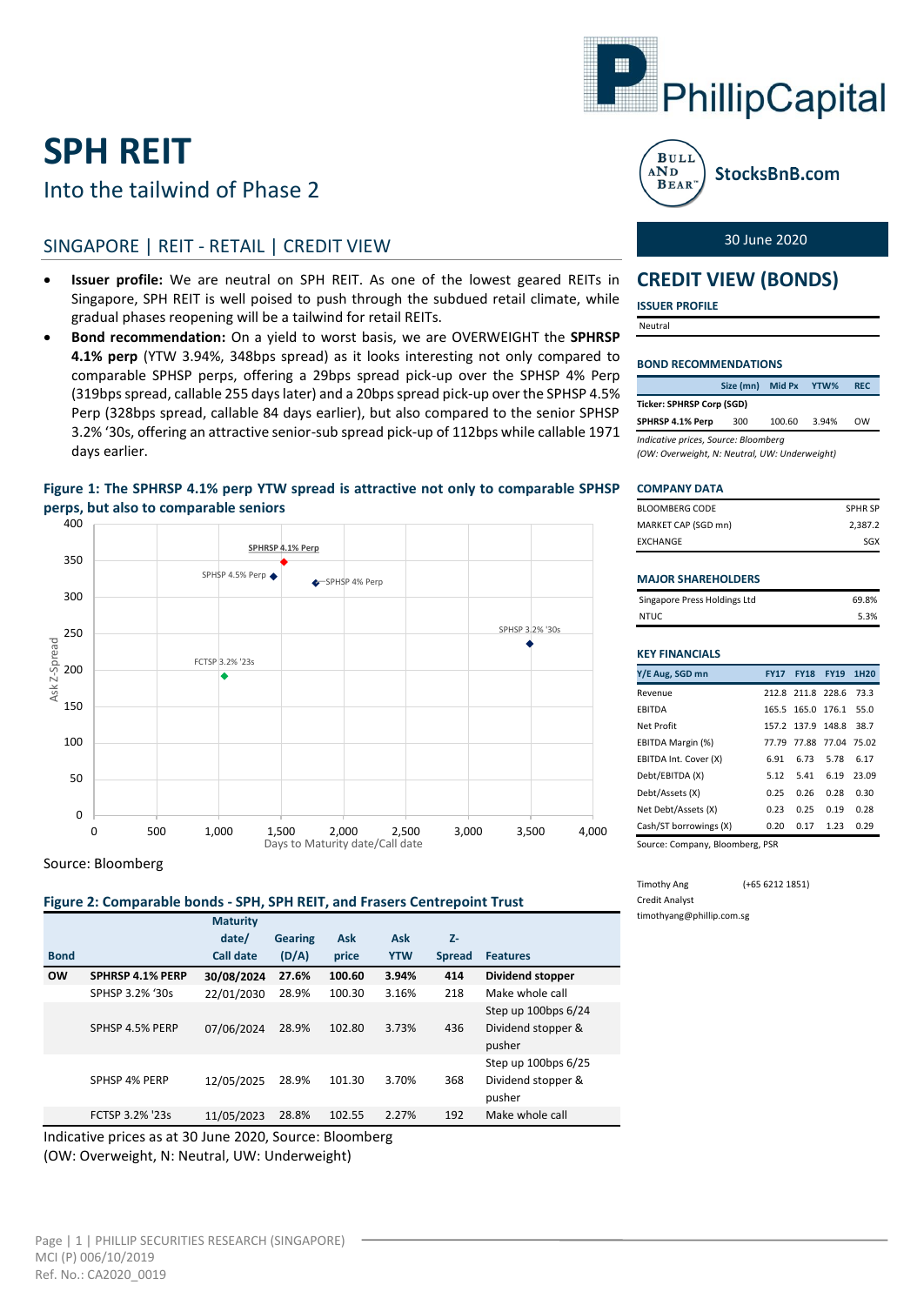# **SPH REIT**

## Into the tailwind of Phase 2

### SINGAPORE | REIT - RETAIL | CREDIT VIEW

- **Issuer profile:** We are neutral on SPH REIT. As one of the lowest geared REITs in Singapore, SPH REIT is well poised to push through the subdued retail climate, while gradual phases reopening will be a tailwind for retail REITs.
- **Bond recommendation:** On a yield to worst basis, we are OVERWEIGHT the **SPHRSP 4.1% perp** (YTW 3.94%, 348bps spread) as it looks interesting not only compared to comparable SPHSP perps, offering a 29bps spread pick-up over the SPHSP 4% Perp (319bps spread, callable 255 days later) and a 20bps spread pick-up over the SPHSP 4.5% Perp (328bps spread, callable 84 days earlier), but also compared to the senior SPHSP 3.2% '30s, offering an attractive senior-sub spread pick-up of 112bps while callable 1971 days earlier.

### **Figure 1: The SPHRSP 4.1% perp YTW spread is attractive not only to comparable SPHSP perps, but also to comparable seniors**



Source: Bloomberg

#### **Figure 2: Comparable bonds - SPH, SPH REIT, and Frasers Centrepoint Trust**

|                                                         |                         | <b>Maturity</b>  |                |            |            |               |                                                     |
|---------------------------------------------------------|-------------------------|------------------|----------------|------------|------------|---------------|-----------------------------------------------------|
|                                                         |                         | date/            | <b>Gearing</b> | <b>Ask</b> | Ask        | $Z-$          |                                                     |
| <b>Bond</b>                                             |                         | <b>Call date</b> | (D/A)          | price      | <b>YTW</b> | <b>Spread</b> | <b>Features</b>                                     |
| <b>OW</b>                                               | <b>SPHRSP 4.1% PERP</b> | 30/08/2024       | 27.6%          | 100.60     | 3.94%      | 414           | <b>Dividend stopper</b>                             |
|                                                         | SPHSP 3.2% '30s         | 22/01/2030       | 28.9%          | 100.30     | 3.16%      | 218           | Make whole call                                     |
|                                                         | SPHSP 4.5% PERP         | 07/06/2024       | 28.9%          | 102.80     | 3.73%      | 436           | Step up 100bps 6/24<br>Dividend stopper &<br>pusher |
|                                                         | SPHSP 4% PERP           | 12/05/2025       | 28.9%          | 101.30     | 3.70%      | 368           | Step up 100bps 6/25<br>Dividend stopper &<br>pusher |
|                                                         | FCTSP 3.2% '23s         | 11/05/2023       | 28.8%          | 102.55     | 2.27%      | 192           | Make whole call                                     |
| Indicative prices as at 30 June 2020, Source: Bloomberg |                         |                  |                |            |            |               |                                                     |

(OW: Overweight, N: Neutral, UW: Underweight)





StocksBnB.com

#### 30 June 2020

### **CREDIT VIEW (BONDS)**

**ISSUER PROFILE**

Neutral

#### **BOND RECOMMENDATIONS**

|                                      | Size (mn) | <b>Mid Px</b> | YTW%  | <b>REC</b> |  |  |  |  |
|--------------------------------------|-----------|---------------|-------|------------|--|--|--|--|
| Ticker: SPHRSP Corp (SGD)            |           |               |       |            |  |  |  |  |
| SPHRSP 4.1% Perp                     | 300       | 100.60        | 3.94% | <b>OW</b>  |  |  |  |  |
| Indicative prices, Source: Bloomberg |           |               |       |            |  |  |  |  |

*(OW: Overweight, N: Neutral, UW: Underweight)*

#### **COMPANY DATA**

| BLOOMBERG CODE      | <b>SPHR SP</b> |
|---------------------|----------------|
| MARKET CAP (SGD mn) | 2,387.2        |
| EXCHANGE            | SGX            |
|                     |                |

#### **MAJOR SHAREHOLDERS**

| Singapore Press Holdings Ltd | 69.8% |
|------------------------------|-------|
| NTUC                         | 5.3%  |

| <b>KEY FINANCIALS</b>  |             |                   |             |                  |  |  |  |  |
|------------------------|-------------|-------------------|-------------|------------------|--|--|--|--|
| Y/E Aug, SGD mn        | <b>FY17</b> | <b>FY18</b>       | <b>FY19</b> | 1H <sub>20</sub> |  |  |  |  |
| Revenue                |             | 212.8 211.8 228.6 |             | 73.3             |  |  |  |  |
| <b>EBITDA</b>          |             | 165.5 165.0       | 1761        | 55.0             |  |  |  |  |
| Net Profit             |             | 157 2 137 9       | 148.8       | 38.7             |  |  |  |  |
| EBITDA Margin (%)      | 77.79       | 77.88             | 77.04       | 75.02            |  |  |  |  |
| EBITDA Int. Cover (X)  | 6.91        | 6.73              | 5.78        | 6.17             |  |  |  |  |
| Debt/EBITDA (X)        | 5.12        | 541               | 6.19        | 23.09            |  |  |  |  |
| Debt/Assets (X)        | 0.25        | 0.26              | 0.28        | 0.30             |  |  |  |  |
| Net Debt/Assets (X)    | 0.23        | 0.25              | 0.19        | 0.28             |  |  |  |  |
| Cash/ST borrowings (X) | 0.20        | 0.17              | 1.23        | 0.29             |  |  |  |  |
|                        |             |                   |             |                  |  |  |  |  |

Source: Company, Bloomberg, PSR

Timothy Ang (+65 6212 1851) Credit Analyst timothyang@phillip.com.sg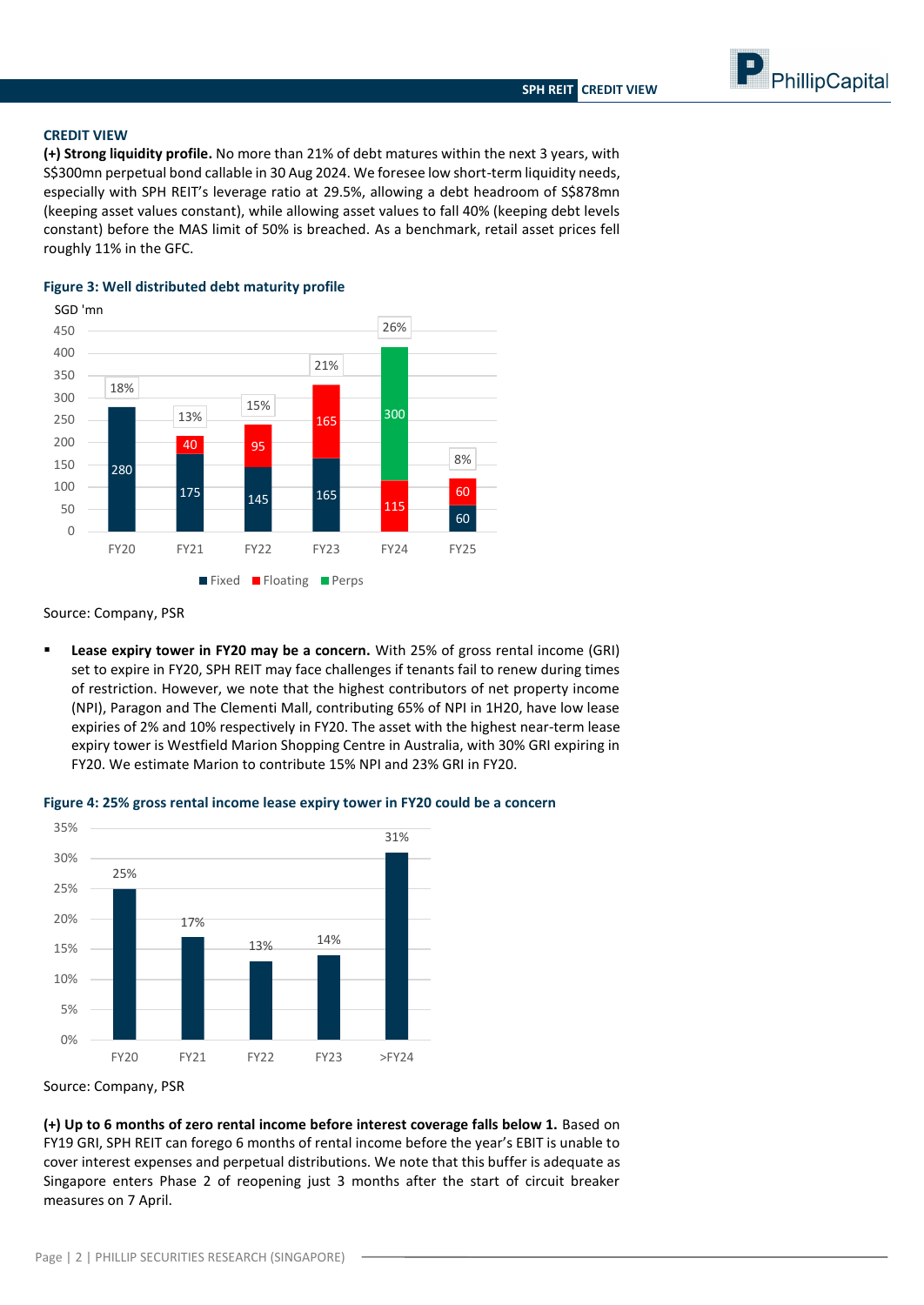PhillipCapital

**CREDIT VIEW**

**(+) Strong liquidity profile.** No more than 21% of debt matures within the next 3 years, with S\$300mn perpetual bond callable in 30 Aug 2024. We foresee low short-term liquidity needs, especially with SPH REIT's leverage ratio at 29.5%, allowing a debt headroom of S\$878mn (keeping asset values constant), while allowing asset values to fall 40% (keeping debt levels constant) before the MAS limit of 50% is breached. As a benchmark, retail asset prices fell roughly 11% in the GFC.

#### 280 175 145 165 60 40 95 165 115 60 300 18% 13% 15% 21% 26% 8% 0 50 100 150 200 250 300 350 400 450 FY20 FY21 FY22 FY23 FY24 FY25 **Fixed Floating Perps** SGD 'mn

#### **Figure 3: Well distributed debt maturity profile**

Source: Company, PSR

 **Lease expiry tower in FY20 may be a concern.** With 25% of gross rental income (GRI) set to expire in FY20, SPH REIT may face challenges if tenants fail to renew during times of restriction. However, we note that the highest contributors of net property income (NPI), Paragon and The Clementi Mall, contributing 65% of NPI in 1H20, have low lease expiries of 2% and 10% respectively in FY20. The asset with the highest near-term lease expiry tower is Westfield Marion Shopping Centre in Australia, with 30% GRI expiring in FY20. We estimate Marion to contribute 15% NPI and 23% GRI in FY20.



FY20 FY21 FY22 FY23 >FY24



Source: Company, PSR

**(+) Up to 6 months of zero rental income before interest coverage falls below 1.** Based on FY19 GRI, SPH REIT can forego 6 months of rental income before the year's EBIT is unable to cover interest expenses and perpetual distributions. We note that this buffer is adequate as Singapore enters Phase 2 of reopening just 3 months after the start of circuit breaker measures on 7 April.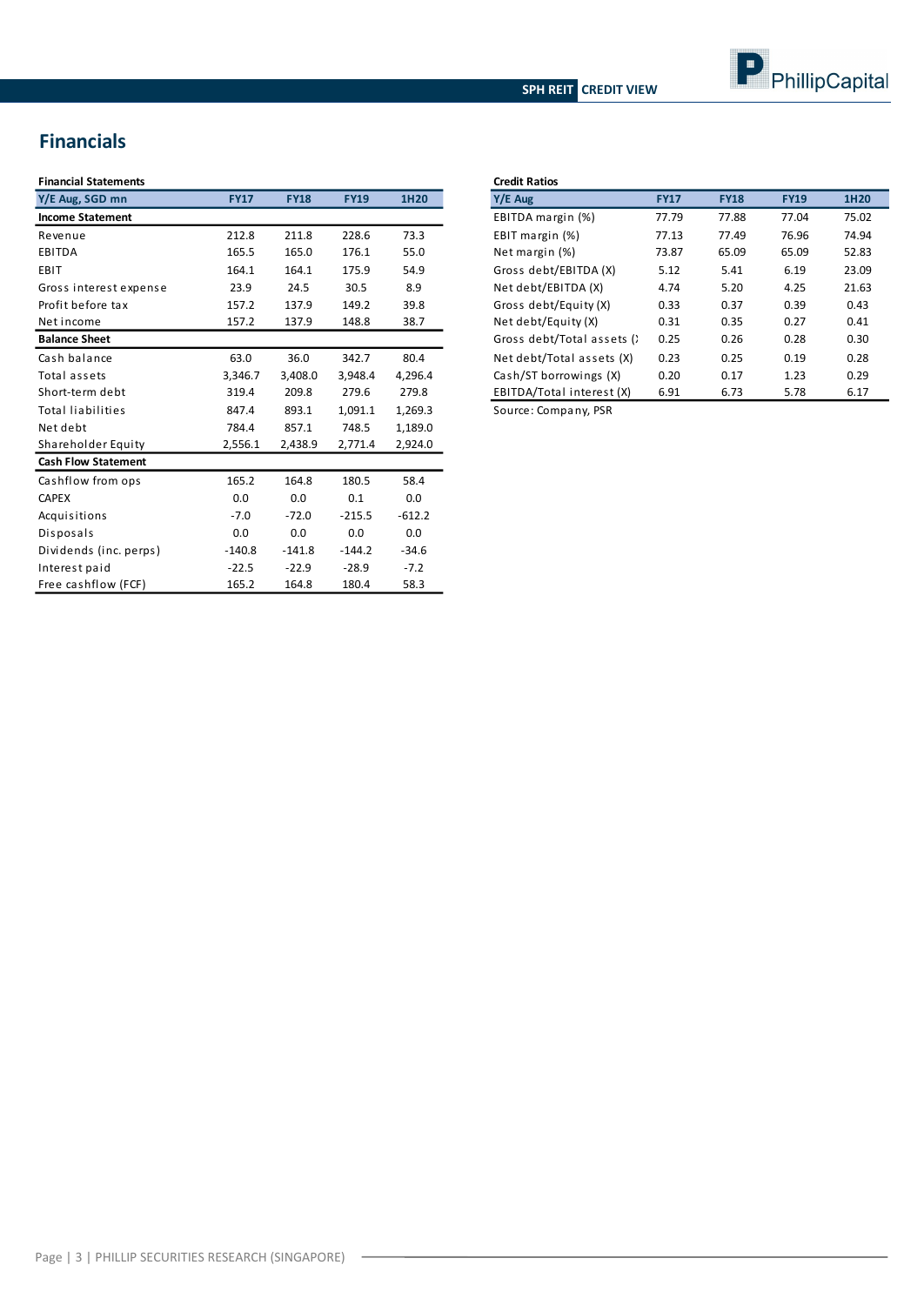### **SPH REIT CREDIT VIEW**



## **Financials**

| <b>Financial Statements</b> |             |             |             |          |
|-----------------------------|-------------|-------------|-------------|----------|
| Y/E Aug, SGD mn             | <b>FY17</b> | <b>FY18</b> | <b>FY19</b> | 1H20     |
| <b>Income Statement</b>     |             |             |             |          |
| Revenue                     | 212.8       | 211.8       | 228.6       | 73.3     |
| <b>EBITDA</b>               | 165.5       | 165.0       | 176.1       | 55.0     |
| EBIT                        | 164.1       | 164.1       | 175.9       | 54.9     |
| Gross interest expense      | 23.9        | 24.5        | 30.5        | 8.9      |
| Profit before tax           | 157.2       | 137.9       | 149.2       | 39.8     |
| Net income                  | 157.2       | 137.9       | 148.8       | 38.7     |
| <b>Balance Sheet</b>        |             |             |             |          |
| Cash balance                | 63.0        | 36.0        | 342.7       | 80.4     |
| Total assets                | 3,346.7     | 3,408.0     | 3,948.4     | 4,296.4  |
| Short-term debt             | 319.4       | 209.8       | 279.6       | 279.8    |
| <b>Total liabilities</b>    | 847.4       | 893.1       | 1,091.1     | 1,269.3  |
| Net debt                    | 784.4       | 857.1       | 748.5       | 1,189.0  |
| Shareholder Equity          | 2,556.1     | 2,438.9     | 2,771.4     | 2,924.0  |
| <b>Cash Flow Statement</b>  |             |             |             |          |
| Cashflow from ops           | 165.2       | 164.8       | 180.5       | 58.4     |
| <b>CAPEX</b>                | 0.0         | 0.0         | 0.1         | 0.0      |
| Acquisitions                | $-7.0$      | $-72.0$     | $-215.5$    | $-612.2$ |
| Disposals                   | 0.0         | 0.0         | 0.0         | 0.0      |
| Dividends (inc. perps)      | $-140.8$    | $-141.8$    | $-144.2$    | $-34.6$  |
| Interest paid               | $-22.5$     | $-22.9$     | $-28.9$     | $-7.2$   |
| Free cashflow (FCF)         | 165.2       | 164.8       | 180.4       | 58.3     |

| <b>Credit Ratios</b>       |             |             |             |       |  |  |  |
|----------------------------|-------------|-------------|-------------|-------|--|--|--|
| Y/E Aug                    | <b>FY17</b> | <b>FY18</b> | <b>FY19</b> | 1H20  |  |  |  |
| EBITDA margin (%)          | 77.79       | 77.88       | 77.04       | 75.02 |  |  |  |
| EBIT margin (%)            | 77.13       | 77.49       | 76.96       | 74.94 |  |  |  |
| Net margin (%)             | 73.87       | 65.09       | 65.09       | 52.83 |  |  |  |
| Gross debt/EBITDA (X)      | 5.12        | 5.41        | 6.19        | 23.09 |  |  |  |
| Net debt/EBITDA (X)        | 4.74        | 5.20        | 4.25        | 21.63 |  |  |  |
| Gross debt/Equity (X)      | 0.33        | 0.37        | 0.39        | 0.43  |  |  |  |
| Net debt/Equity (X)        | 0.31        | 0.35        | 0.27        | 0.41  |  |  |  |
| Gross debt/Total assets () | 0.25        | 0.26        | 0.28        | 0.30  |  |  |  |
| Net debt/Total assets (X)  | 0.23        | 0.25        | 0.19        | 0.28  |  |  |  |
| Cash/ST borrowings (X)     | 0.20        | 0.17        | 1.23        | 0.29  |  |  |  |
| EBITDA/Total interest (X)  | 6.91        | 6.73        | 5.78        | 6.17  |  |  |  |
|                            |             |             |             |       |  |  |  |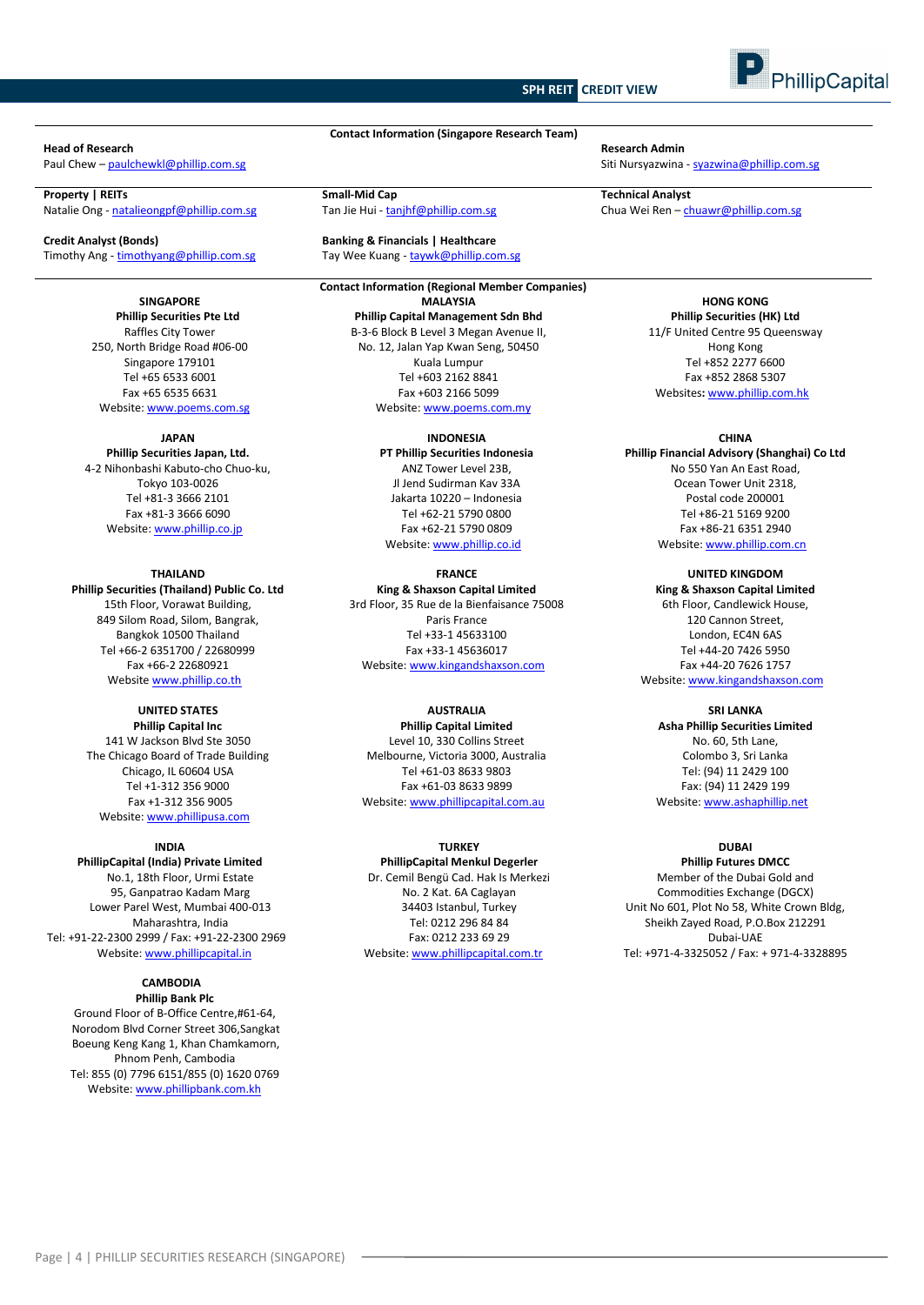#### **SPH REIT CREDIT VIEW**



Natalie Ong - [natalieongpf@phillip.com.sg](mailto:natalieongpf@phillip.com.sg)

**Credit Analyst (Bonds) Banking & Financials | Healthcare** Timothy Ang - timothyang@phillip.com.sg Tay Wee Kuang - taywk@phillip.com.sg

**SINGAPORE Phillip Securities Pte Ltd** Raffles City Tower 250, North Bridge Road #06-00 Singapore 179101 Tel +65 6533 6001 Fax +65 6535 6631 Website[: www.poems.com.sg](http://www.poems.com.sg/)

#### **JAPAN**

**Phillip Securities Japan, Ltd.** 4-2 Nihonbashi Kabuto-cho Chuo-ku, Tokyo 103-0026 Tel +81-3 3666 2101 Fax +81-3 3666 6090 Website[: www.phillip.co.jp](http://www.phillip.co.jp/)

**THAILAND Phillip Securities (Thailand) Public Co. Ltd** 15th Floor, Vorawat Building, 849 Silom Road, Silom, Bangrak, Bangkok 10500 Thailand Tel +66-2 6351700 / 22680999 Fax +66-2 22680921 Website [www.phillip.co.th](http://www.phillip.co.th/)

#### **UNITED STATES Phillip Capital Inc**

141 W Jackson Blvd Ste 3050 The Chicago Board of Trade Building Chicago, IL 60604 USA Tel +1-312 356 9000 Fax +1-312 356 9005 Website[: www.phillipusa.com](http://www.phillipusa.com/)

#### **INDIA**

**PhillipCapital (India) Private Limited** No.1, 18th Floor, Urmi Estate 95, Ganpatrao Kadam Marg Lower Parel West, Mumbai 400-013 Maharashtra, India Tel: +91-22-2300 2999 / Fax: +91-22-2300 2969 Website[: www.phillipcapital.in](http://www.phillipcapital.in/)

### **CAMBODIA**

**Phillip Bank Plc** Ground Floor of B-Office Centre,#61-64, Norodom Blvd Corner Street 306,Sangkat Boeung Keng Kang 1, Khan Chamkamorn, Phnom Penh, Cambodia Tel: 855 (0) 7796 6151/855 (0) 1620 0769 Website[: www.phillipbank.com.kh](http://www.phillipbank.com.kh/)

**Contact Information (Singapore Research Team)**

**Contact Information (Regional Member Companies) MALAYSIA Phillip Capital Management Sdn Bhd** B-3-6 Block B Level 3 Megan Avenue II, No. 12, Jalan Yap Kwan Seng, 50450 Kuala Lumpur Tel +603 2162 8841 Fax +603 2166 5099

Website[: www.poems.com.my](http://www.poems.com.my/)

#### **INDONESIA**

**PT Phillip Securities Indonesia** ANZ Tower Level 23B, Jl Jend Sudirman Kav 33A Jakarta 10220 – Indonesia Tel +62-21 5790 0800 Fax +62-21 5790 0809 Website: [www.phillip.co.id](http://www.phillip.co.id/)

**FRANCE**

**King & Shaxson Capital Limited** 3rd Floor, 35 Rue de la Bienfaisance 75008 Paris France Tel +33-1 45633100 Fax +33-1 45636017 Website[: www.kingandshaxson.com](http://www.kingandshaxson.com/)

#### **AUSTRALIA**

**Phillip Capital Limited** Level 10, 330 Collins Street Melbourne, Victoria 3000, Australia Tel +61-03 8633 9803 Fax +61-03 8633 9899 Website[: www.phillipcapital.com.au](http://www.phillipcapital.com.au/)

#### **TURKEY**

**PhillipCapital Menkul Degerler** Dr. Cemil Bengü Cad. Hak Is Merkezi No. 2 Kat. 6A Caglayan 34403 Istanbul, Turkey Tel: 0212 296 84 84 Fax: 0212 233 69 29 Website[: www.phillipcapital.com.tr](http://www.phillipcapital.com.tr/)

**Head of Research Research Admin**

Paul Chew – [paulchewkl@phillip.com.sg](mailto:paulchewkl@phillip.com.sg) Siti Nursyazwina - [syazwina@phillip.com.sg](mailto:syazwina@phillip.com.sg) Siti Nursyazwina - syazwina@phillip.com.sg

**Property | REITs**<br> **Property | REITs Small-Mid Cap Small-Mid Cap Small-Mid Cap Tan Jie Hui - tanjhf@phillip.com.sg <b>Small-Mid Cap Chua Wei Ren – chuawr@phillip.com.sg Chua Wei Ren – chuawr@phillip.com.sg** 

**HONG KONG Phillip Securities (HK) Ltd** 11/F United Centre 95 Queensway Hong Kong Tel +852 2277 6600 Fax +852 2868 5307 Websites**:** [www.phillip.com.hk](http://www.phillip.com.hk/)

#### **CHINA**

**Phillip Financial Advisory (Shanghai) Co Ltd** No 550 Yan An East Road, Ocean Tower Unit 2318, Postal code 200001 Tel +86-21 5169 9200 Fax +86-21 6351 2940 Website[: www.phillip.com.cn](http://www.phillip.com.cn/)

**UNITED KINGDOM**

**King & Shaxson Capital Limited** 6th Floor, Candlewick House, 120 Cannon Street, London, EC4N 6AS Tel +44-20 7426 5950 Fax +44-20 7626 1757 Website[: www.kingandshaxson.com](http://www.kingandshaxson.com/)

**SRI LANKA**

**Asha Phillip Securities Limited** No. 60, 5th Lane, Colombo 3, Sri Lanka Tel: (94) 11 2429 100 Fax: (94) 11 2429 199 Website[: www.ashaphillip.net](http://www.ashaphillip.net/)

#### **DUBAI**

**Phillip Futures DMCC** Member of the Dubai Gold and Commodities Exchange (DGCX) Unit No 601, Plot No 58, White Crown Bldg, Sheikh Zayed Road, P.O.Box 212291 Dubai-UAE Tel: +971-4-3325052 / Fax: + 971-4-3328895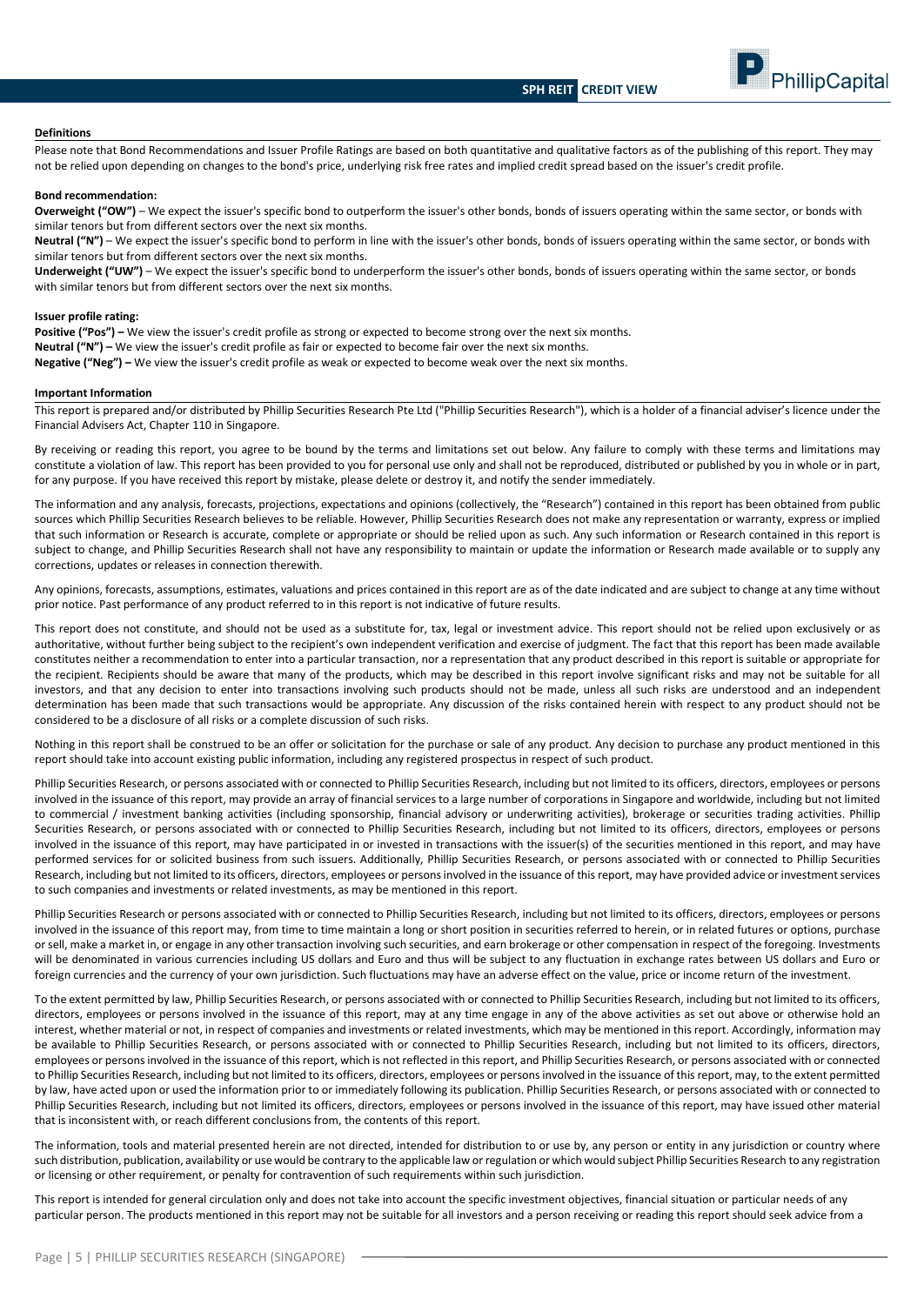

#### **Definitions**

Please note that Bond Recommendations and Issuer Profile Ratings are based on both quantitative and qualitative factors as of the publishing of this report. They may not be relied upon depending on changes to the bond's price, underlying risk free rates and implied credit spread based on the issuer's credit profile.

#### **Bond recommendation:**

**Overweight ("OW")** – We expect the issuer's specific bond to outperform the issuer's other bonds, bonds of issuers operating within the same sector, or bonds with similar tenors but from different sectors over the next six months.

**Neutral ("N")** – We expect the issuer's specific bond to perform in line with the issuer's other bonds, bonds of issuers operating within the same sector, or bonds with similar tenors but from different sectors over the next six months.

**Underweight ("UW")** – We expect the issuer's specific bond to underperform the issuer's other bonds, bonds of issuers operating within the same sector, or bonds with similar tenors but from different sectors over the next six months.

#### **Issuer profile rating:**

**Positive ("Pos") –** We view the issuer's credit profile as strong or expected to become strong over the next six months. **Neutral ("N") –** We view the issuer's credit profile as fair or expected to become fair over the next six months. **Negative ("Neg") –** We view the issuer's credit profile as weak or expected to become weak over the next six months.

#### **Important Information**

This report is prepared and/or distributed by Phillip Securities Research Pte Ltd ("Phillip Securities Research"), which is a holder of a financial adviser's licence under the Financial Advisers Act, Chapter 110 in Singapore.

By receiving or reading this report, you agree to be bound by the terms and limitations set out below. Any failure to comply with these terms and limitations may constitute a violation of law. This report has been provided to you for personal use only and shall not be reproduced, distributed or published by you in whole or in part, for any purpose. If you have received this report by mistake, please delete or destroy it, and notify the sender immediately.

The information and any analysis, forecasts, projections, expectations and opinions (collectively, the "Research") contained in this report has been obtained from public sources which Phillip Securities Research believes to be reliable. However, Phillip Securities Research does not make any representation or warranty, express or implied that such information or Research is accurate, complete or appropriate or should be relied upon as such. Any such information or Research contained in this report is subject to change, and Phillip Securities Research shall not have any responsibility to maintain or update the information or Research made available or to supply any corrections, updates or releases in connection therewith.

Any opinions, forecasts, assumptions, estimates, valuations and prices contained in this report are as of the date indicated and are subject to change at any time without prior notice. Past performance of any product referred to in this report is not indicative of future results.

This report does not constitute, and should not be used as a substitute for, tax, legal or investment advice. This report should not be relied upon exclusively or as authoritative, without further being subject to the recipient's own independent verification and exercise of judgment. The fact that this report has been made available constitutes neither a recommendation to enter into a particular transaction, nor a representation that any product described in this report is suitable or appropriate for the recipient. Recipients should be aware that many of the products, which may be described in this report involve significant risks and may not be suitable for all investors, and that any decision to enter into transactions involving such products should not be made, unless all such risks are understood and an independent determination has been made that such transactions would be appropriate. Any discussion of the risks contained herein with respect to any product should not be considered to be a disclosure of all risks or a complete discussion of such risks.

Nothing in this report shall be construed to be an offer or solicitation for the purchase or sale of any product. Any decision to purchase any product mentioned in this report should take into account existing public information, including any registered prospectus in respect of such product.

Phillip Securities Research, or persons associated with or connected to Phillip Securities Research, including but not limited to its officers, directors, employees or persons involved in the issuance of this report, may provide an array of financial services to a large number of corporations in Singapore and worldwide, including but not limited to commercial / investment banking activities (including sponsorship, financial advisory or underwriting activities), brokerage or securities trading activities. Phillip Securities Research, or persons associated with or connected to Phillip Securities Research, including but not limited to its officers, directors, employees or persons involved in the issuance of this report, may have participated in or invested in transactions with the issuer(s) of the securities mentioned in this report, and may have performed services for or solicited business from such issuers. Additionally, Phillip Securities Research, or persons associated with or connected to Phillip Securities Research, including but not limited to its officers, directors, employees or persons involved in the issuance of this report, may have provided advice or investment services to such companies and investments or related investments, as may be mentioned in this report.

Phillip Securities Research or persons associated with or connected to Phillip Securities Research, including but not limited to its officers, directors, employees or persons involved in the issuance of this report may, from time to time maintain a long or short position in securities referred to herein, or in related futures or options, purchase or sell, make a market in, or engage in any other transaction involving such securities, and earn brokerage or other compensation in respect of the foregoing. Investments will be denominated in various currencies including US dollars and Euro and thus will be subject to any fluctuation in exchange rates between US dollars and Euro or foreign currencies and the currency of your own jurisdiction. Such fluctuations may have an adverse effect on the value, price or income return of the investment.

To the extent permitted by law, Phillip Securities Research, or persons associated with or connected to Phillip Securities Research, including but not limited to its officers, directors, employees or persons involved in the issuance of this report, may at any time engage in any of the above activities as set out above or otherwise hold an interest, whether material or not, in respect of companies and investments or related investments, which may be mentioned in this report. Accordingly, information may be available to Phillip Securities Research, or persons associated with or connected to Phillip Securities Research, including but not limited to its officers, directors, employees or persons involved in the issuance of this report, which is not reflected in this report, and Phillip Securities Research, or persons associated with or connected to Phillip Securities Research, including but not limited to its officers, directors, employees or persons involved in the issuance of this report, may, to the extent permitted by law, have acted upon or used the information prior to or immediately following its publication. Phillip Securities Research, or persons associated with or connected to Phillip Securities Research, including but not limited its officers, directors, employees or persons involved in the issuance of this report, may have issued other material that is inconsistent with, or reach different conclusions from, the contents of this report.

The information, tools and material presented herein are not directed, intended for distribution to or use by, any person or entity in any jurisdiction or country where such distribution, publication, availability or use would be contrary to the applicable law or regulation or which would subject Phillip Securities Research to any registration or licensing or other requirement, or penalty for contravention of such requirements within such jurisdiction.

This report is intended for general circulation only and does not take into account the specific investment objectives, financial situation or particular needs of any particular person. The products mentioned in this report may not be suitable for all investors and a person receiving or reading this report should seek advice from a